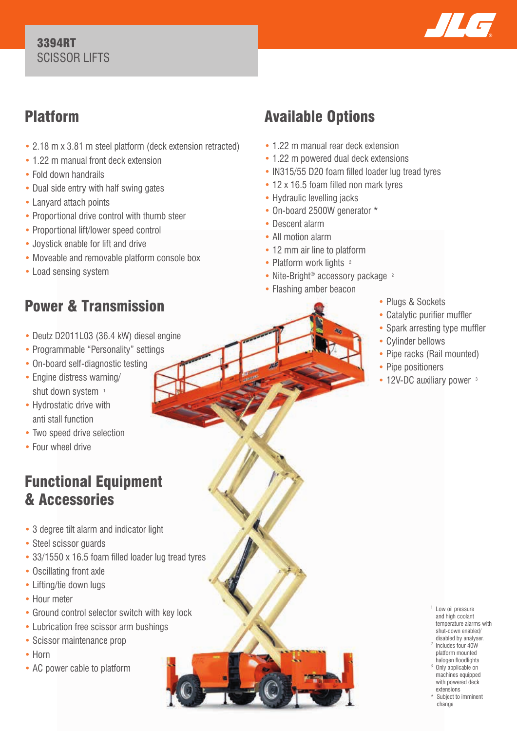

# Platform

- 2.18 m x 3.81 m steel platform (deck extension retracted)
- 1.22 m manual front deck extension
- Fold down handrails
- Dual side entry with half swing gates
- Lanyard attach points
- Proportional drive control with thumb steer
- Proportional lift/lower speed control
- Joystick enable for lift and drive
- Moveable and removable platform console box
- Load sensing system

# Power & Transmission

- Deutz D2011L03 (36.4 kW) diesel engine
- Programmable "Personality" settings
- On-board self-diagnostic testing
- Engine distress warning/ shut down system 1
- Hydrostatic drive with anti stall function
- Two speed drive selection
- Four wheel drive

## Functional Equipment & Accessories

- 3 degree tilt alarm and indicator light
- Steel scissor guards
- 33/1550 x 16.5 foam filled loader lug tread tyres
- Oscillating front axle
- Lifting/tie down lugs
- Hour meter
- Ground control selector switch with key lock
- Lubrication free scissor arm bushings
- Scissor maintenance prop
- Horn
- AC power cable to platform

# Available Options

- 1.22 m manual rear deck extension
- 1.22 m powered dual deck extensions
- IN315/55 D20 foam filled loader lug tread tyres
- 12 x 16.5 foam filled non mark tyres
- Hydraulic levelling jacks
- On-board 2500W generator \*
- Descent alarm
- All motion alarm
- 12 mm air line to platform
- Platform work lights <sup>2</sup>
- Nite-Bright<sup>®</sup> accessory package <sup>2</sup>
- Flashing amber beacon
- Plugs & Sockets
- Catalytic purifier muffler
- Spark arresting type muffler
- Cylinder bellows
- Pipe racks (Rail mounted)
- Pipe positioners
- 12V-DC auxiliary power <sup>3</sup>

- <sup>1</sup> Low oil pressure and high coolant temperature alarms with shut-down enabled/ disabled by analyser.
- 2 Includes four 40W platform mounted halogen floodlights
- 3 Only applicable on machines equipped with powered deck extensions
- Subject to imminent change